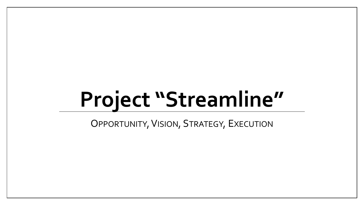# **Project "Streamline"**

OPPORTUNITY, VISION, STRATEGY, EXECUTION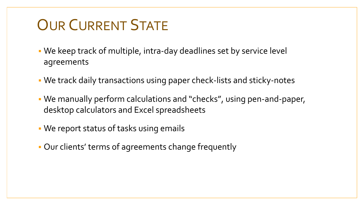### OUR CURRENT STATE

- We keep track of multiple, intra-day deadlines set by service level agreements
- We track daily transactions using paper check-lists and sticky-notes
- We manually perform calculations and "checks", using pen-and-paper, desktop calculators and Excel spreadsheets
- We report status of tasks using emails
- Our clients' terms of agreements change frequently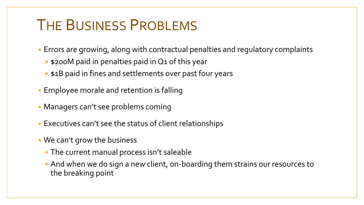#### THE BUSINESS PROBLEMS

- Errors are growing, along with contractual penalties and regulatory complaints
	- **.** \$200M paid in penalties paid in Q1 of this year
	- **: \$1B paid in fines and settlements over past four years**
- **Employee morale and retention is falling**
- Managers can't see problems coming
- Executives can't see the status of client relationships
- We can't grow the business
	- The current manual process isn't saleable
	- And when we do sign a new client, on-boarding them strains our resources to the breaking point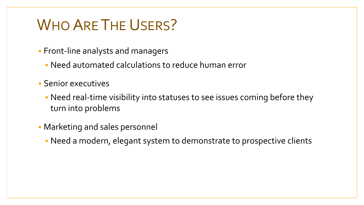#### WHO ARE THE USERS?

- **Front-line analysts and managers** 
	- Need automated calculations to reduce human error
- Senior executives
	- Need real-time visibility into statuses to see issues coming before they turn into problems
- Marketing and sales personnel
	- Need a modern, elegant system to demonstrate to prospective clients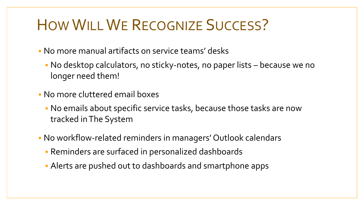### HOW WILLWE RECOGNIZE SUCCESS?

- No more manual artifacts on service teams' desks
	- No desktop calculators, no sticky-notes, no paper lists because we no longer need them!
- No more cluttered email boxes
	- No emails about specific service tasks, because those tasks are now tracked in The System
- No workflow-related reminders in managers' Outlook calendars
	- Reminders are surfaced in personalized dashboards
	- Alerts are pushed out to dashboards and smartphone apps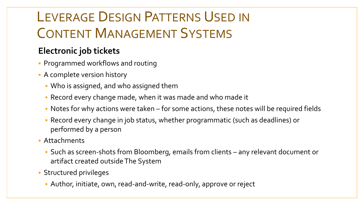#### LEVERAGE DESIGN PATTERNS USED IN CONTENT MANAGEMENT SYSTEMS

#### **Electronic job tickets**

- **Programmed workflows and routing**
- A complete version history
	- Who is assigned, and who assigned them
	- Record every change made, when it was made and who made it
	- Notes for why actions were taken for some actions, these notes will be required fields
	- Record every change in job status, whether programmatic (such as deadlines) or performed by a person
- Attachments
	- Such as screen-shots from Bloomberg, emails from clients any relevant document or artifact created outside The System
- Structured privileges
	- Author, initiate, own, read-and-write, read-only, approve or reject